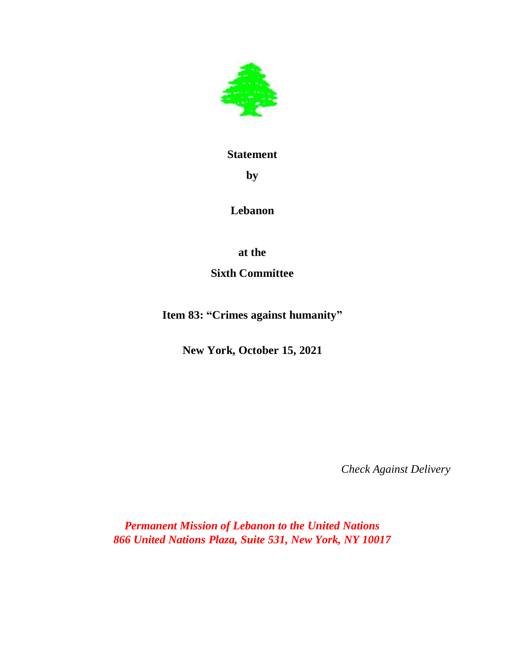

## **Statement**

**by**

**Lebanon** 

**at the**

**Sixth Committee**

**Item 83: "Crimes against humanity"**

**New York, October 15, 2021**

 *Check Against Delivery*

*Permanent Mission of Lebanon to the United Nations 866 United Nations Plaza, Suite 531, New York, NY 10017*